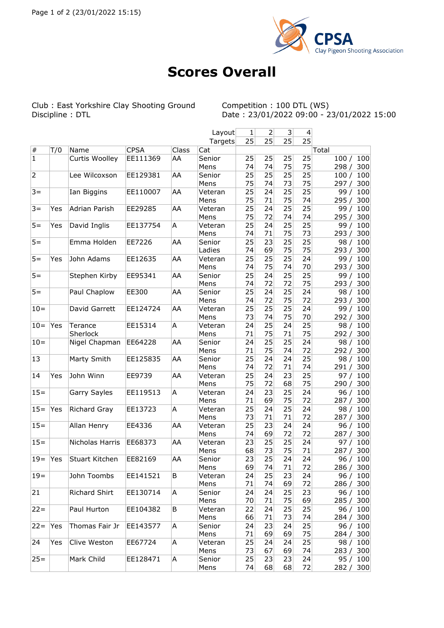

## **Scores Overall**

Club : East Yorkshire Clay Shooting Ground Discipline : DTL

Competition : 100 DTL (WS)<br>Date : 23/01/2022 09:00 - 23/01/2022 15:00

|                |     |                       |             |       | Layout  | 1  | $\overline{2}$ | 3  | 4  |              |
|----------------|-----|-----------------------|-------------|-------|---------|----|----------------|----|----|--------------|
|                |     |                       |             |       | Targets | 25 | 25             | 25 | 25 |              |
| $\vert \#$     | T/0 | Name                  | <b>CPSA</b> | Class | Cat     |    |                |    |    | Total        |
| $\vert$ 1      |     | <b>Curtis Woolley</b> | EE111369    | AA    | Senior  | 25 | 25             | 25 | 25 | 100/<br>100  |
|                |     |                       |             |       | Mens    | 74 | 74             | 75 | 75 | 298/<br>300  |
| $\overline{2}$ |     | Lee Wilcoxson         | EE129381    | AA    | Senior  | 25 | 25             | 25 | 25 | 100/<br>100  |
|                |     |                       |             |       | Mens    | 75 | 74             | 73 | 75 | 300<br>297 / |
| $3 =$          |     | Ian Biggins           | EE110007    | AA    | Veteran | 25 | 24             | 25 | 25 | 99/<br>100   |
|                |     |                       |             |       | Mens    | 75 | 71             | 75 | 74 | 295/<br>300  |
| $3 =$          | Yes | Adrian Parish         | EE29285     | AA    | Veteran | 25 | 24             | 25 | 25 | 99/<br>100   |
|                |     |                       |             |       | Mens    | 75 | 72             | 74 | 74 | 300<br>295/  |
| $5 =$          | Yes | David Inglis          | EE137754    | A     | Veteran | 25 | 24             | 25 | 25 | 99/<br>100   |
|                |     |                       |             |       | Mens    | 74 | 71             | 75 | 73 | 293/<br>300  |
| $5 =$          |     | Emma Holden           | EE7226      | AA    | Senior  | 25 | 23             | 25 | 25 | 98/<br>100   |
|                |     |                       |             |       | Ladies  | 74 | 69             | 75 | 75 | 300<br>293/  |
| $5 =$          | Yes | John Adams            | EE12635     | AA    | Veteran | 25 | 25             | 25 | 24 | 99/<br>100   |
|                |     |                       |             |       | Mens    | 74 | 75             | 74 | 70 | 293/<br>300  |
| $5 =$          |     | Stephen Kirby         | EE95341     | AA    | Senior  | 25 | 24             | 25 | 25 | 99/<br>100   |
|                |     |                       |             |       | Mens    | 74 | 72             | 72 | 75 | 300<br>293/  |
| $5 =$          |     | Paul Chaplow          | EE300       | AA    | Senior  | 25 | 24             | 25 | 24 | 98/<br>100   |
|                |     |                       |             |       | Mens    | 74 | 72             | 75 | 72 | 293/<br>300  |
| $10 =$         |     | David Garrett         | EE124724    | AA    | Veteran | 25 | 25             | 25 | 24 | 99/<br>100   |
|                |     |                       |             |       | Mens    | 73 | 74             | 75 | 70 | 300<br>292/  |
| $10 =$         | Yes | Terance               | EE15314     | A     | Veteran | 24 | 25             | 24 | 25 | 98/<br>100   |
|                |     | Sherlock              |             |       | Mens    | 71 | 75             | 71 | 75 | 292/<br>300  |
| $10 =$         |     | Nigel Chapman         | EE64228     | AA    | Senior  | 24 | 25             | 25 | 24 | 98/<br>100   |
|                |     |                       |             |       | Mens    | 71 | 75             | 74 | 72 | 292/<br>300  |
| 13             |     | Marty Smith           | EE125835    | AA    | Senior  | 25 | 24             | 24 | 25 | 98/<br>100   |
|                |     |                       |             |       | Mens    | 74 | 72             | 71 | 74 | 291/<br>300  |
| 14             | Yes | John Winn             | EE9739      | AA    | Veteran | 25 | 24             | 23 | 25 | 97/<br>100   |
|                |     |                       |             |       | Mens    | 75 | 72             | 68 | 75 | 300<br>290/  |
| $15 =$         |     | Garry Sayles          | EE119513    | A     | Veteran | 24 | 23             | 25 | 24 | 96/<br>100   |
|                |     |                       |             |       | Mens    | 71 | 69             | 75 | 72 | 300<br>287/  |
| $15 =$         | Yes | Richard Gray          | EE13723     | A     | Veteran | 25 | 24             | 25 | 24 | 98/<br>100   |
|                |     |                       |             |       | Mens    | 73 | 71             | 71 | 72 | 300<br>287 / |
| $15 =$         |     | Allan Henry           | EE4336      | AA    | Veteran | 25 | 23             | 24 | 24 | 96/<br>100   |
|                |     |                       |             |       | Mens    | 74 | 69             | 72 | 72 | 300<br>287/  |
| $15 =$         |     | Nicholas Harris       | EE68373     | AA    | Veteran | 23 | 25             | 25 | 24 | 97/<br>100   |
|                |     |                       |             |       | Mens    | 68 | 73             | 75 | 71 | 287/<br>300  |
| $19 =$         | Yes | Stuart Kitchen        | EE82169     | AA    | Senior  | 23 | 25             | 24 | 24 | 96/<br>100   |
|                |     |                       |             |       | Mens    | 69 | 74             | 71 | 72 | 286 /<br>300 |
| $19 =$         |     | John Toombs           | EE141521    | B     | Veteran | 24 | 25             | 23 | 24 | 96 / 100     |
|                |     |                       |             |       | Mens    | 71 | 74             | 69 | 72 | 286 / 300    |
| 21             |     | Richard Shirt         | EE130714    | A     | Senior  | 24 | 24             | 25 | 23 | 96 / 100     |
|                |     |                       |             |       | Mens    | 70 | 71             | 75 | 69 | 285/<br>300  |
| $22 =$         |     | Paul Hurton           | EE104382    | B     | Veteran | 22 | 24             | 25 | 25 | 96/<br>100   |
|                |     |                       |             |       | Mens    | 66 | 71             | 73 | 74 | 300<br>284 / |
| $22 =$         | Yes | Thomas Fair Jr        | EE143577    | A     | Senior  | 24 | 23             | 24 | 25 | 96/<br>100   |
|                |     |                       |             |       | Mens    | 71 | 69             | 69 | 75 | 284 / 300    |
| 24             | Yes | Clive Weston          | EE67724     | A     | Veteran | 25 | 24             | 24 | 25 | 98 / 100     |
|                |     |                       |             |       | Mens    | 73 | 67             | 69 | 74 | 283 / 300    |
| $25 =$         |     | Mark Child            | EE128471    | A     | Senior  | 25 | 23             | 23 | 24 | 95 / 100     |
|                |     |                       |             |       | Mens    | 74 | 68             | 68 | 72 | 300<br>282/  |
|                |     |                       |             |       |         |    |                |    |    |              |